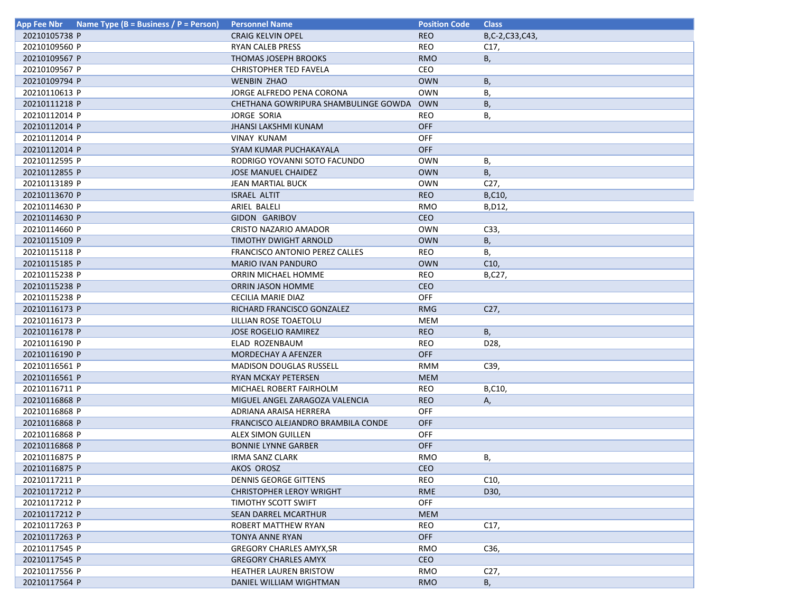| App Fee Nbr   | Name Type (B = Business / P = Person) | <b>Personnel Name</b>                | <b>Position Code</b> | <b>Class</b>   |
|---------------|---------------------------------------|--------------------------------------|----------------------|----------------|
| 20210105738 P |                                       | <b>CRAIG KELVIN OPEL</b>             | <b>REO</b>           | B,C-2,C33,C43, |
| 20210109560 P |                                       | <b>RYAN CALEB PRESS</b>              | <b>REO</b>           | C17,           |
| 20210109567 P |                                       | <b>THOMAS JOSEPH BROOKS</b>          | <b>RMO</b>           | В,             |
| 20210109567 P |                                       | <b>CHRISTOPHER TED FAVELA</b>        | CEO                  |                |
| 20210109794 P |                                       | <b>WENBIN ZHAO</b>                   | <b>OWN</b>           | Β,             |
| 20210110613 P |                                       | JORGE ALFREDO PENA CORONA            | <b>OWN</b>           | В,             |
| 20210111218 P |                                       | CHETHANA GOWRIPURA SHAMBULINGE GOWDA | <b>OWN</b>           | В,             |
| 20210112014 P |                                       | <b>JORGE SORIA</b>                   | REO                  | В,             |
| 20210112014 P |                                       | JHANSI LAKSHMI KUNAM                 | <b>OFF</b>           |                |
| 20210112014 P |                                       | <b>VINAY KUNAM</b>                   | <b>OFF</b>           |                |
| 20210112014 P |                                       | SYAM KUMAR PUCHAKAYALA               | <b>OFF</b>           |                |
| 20210112595 P |                                       | RODRIGO YOVANNI SOTO FACUNDO         | <b>OWN</b>           | В,             |
| 20210112855 P |                                       | <b>JOSE MANUEL CHAIDEZ</b>           | <b>OWN</b>           | <b>B</b> ,     |
| 20210113189 P |                                       | JEAN MARTIAL BUCK                    | <b>OWN</b>           | C27,           |
| 20210113670 P |                                       | ISRAEL ALTIT                         | <b>REO</b>           | B,C10,         |
| 20210114630 P |                                       | ARIEL BALELI                         | RMO                  | B, D12,        |
| 20210114630 P |                                       | GIDON GARIBOV                        | <b>CEO</b>           |                |
| 20210114660 P |                                       | CRISTO NAZARIO AMADOR                | <b>OWN</b>           | C33,           |
| 20210115109 P |                                       | TIMOTHY DWIGHT ARNOLD                | <b>OWN</b>           | B,             |
| 20210115118 P |                                       | FRANCISCO ANTONIO PEREZ CALLES       | <b>REO</b>           | В,             |
| 20210115185 P |                                       | <b>MARIO IVAN PANDURO</b>            | <b>OWN</b>           | C10,           |
| 20210115238 P |                                       | ORRIN MICHAEL HOMME                  | <b>REO</b>           | B,C27,         |
| 20210115238 P |                                       | <b>ORRIN JASON HOMME</b>             | CEO                  |                |
| 20210115238 P |                                       | CECILIA MARIE DIAZ                   | OFF                  |                |
| 20210116173 P |                                       | RICHARD FRANCISCO GONZALEZ           | <b>RMG</b>           | C27,           |
| 20210116173 P |                                       | LILLIAN ROSE TOAETOLU                | MEM                  |                |
| 20210116178 P |                                       | <b>JOSE ROGELIO RAMIREZ</b>          | <b>REO</b>           | <b>B</b> ,     |
| 20210116190 P |                                       | ELAD ROZENBAUM                       | <b>REO</b>           | D28,           |
| 20210116190 P |                                       | MORDECHAY A AFENZER                  | OFF                  |                |
| 20210116561 P |                                       | <b>MADISON DOUGLAS RUSSELL</b>       | <b>RMM</b>           | C39,           |
| 20210116561 P |                                       | RYAN MCKAY PETERSEN                  | <b>MEM</b>           |                |
| 20210116711 P |                                       | MICHAEL ROBERT FAIRHOLM              | <b>REO</b>           | B,C10,         |
| 20210116868 P |                                       | MIGUEL ANGEL ZARAGOZA VALENCIA       | <b>REO</b>           | Α,             |
| 20210116868 P |                                       | ADRIANA ARAISA HERRERA               | <b>OFF</b>           |                |
| 20210116868 P |                                       | FRANCISCO ALEJANDRO BRAMBILA CONDE   | <b>OFF</b>           |                |
| 20210116868 P |                                       | ALEX SIMON GUILLEN                   | <b>OFF</b>           |                |
| 20210116868 P |                                       | <b>BONNIE LYNNE GARBER</b>           | <b>OFF</b>           |                |
| 20210116875 P |                                       | IRMA SANZ CLARK                      | RMO                  | В,             |
| 20210116875 P |                                       | AKOS OROSZ                           | <b>CEO</b>           |                |
| 20210117211 P |                                       | <b>DENNIS GEORGE GITTENS</b>         | REO                  | C10,           |
| 20210117212 P |                                       | <b>CHRISTOPHER LEROY WRIGHT</b>      | RME                  | D30,           |
| 20210117212 P |                                       | TIMOTHY SCOTT SWIFT                  | OFF                  |                |
| 20210117212 P |                                       | SEAN DARREL MCARTHUR                 | <b>MEM</b>           |                |
| 20210117263 P |                                       | ROBERT MATTHEW RYAN                  | REO                  | C17,           |
| 20210117263 P |                                       | TONYA ANNE RYAN                      | OFF                  |                |
| 20210117545 P |                                       | <b>GREGORY CHARLES AMYX.SR</b>       | RMO                  | C36,           |
| 20210117545 P |                                       | <b>GREGORY CHARLES AMYX</b>          | <b>CEO</b>           |                |
| 20210117556 P |                                       | <b>HEATHER LAUREN BRISTOW</b>        | RMO                  | C27,           |
| 20210117564 P |                                       | DANIEL WILLIAM WIGHTMAN              | <b>RMO</b>           | B,             |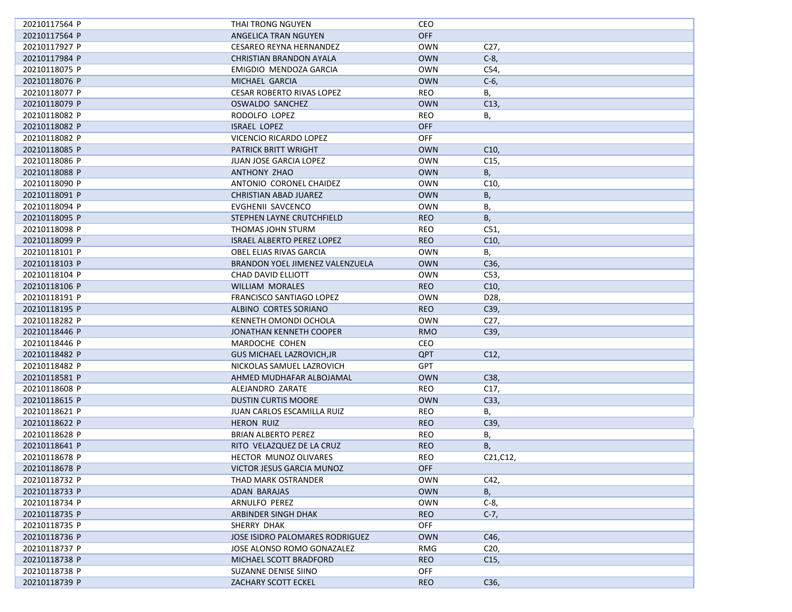| 20210117564 P                  | THAI TRONG NGUYEN                                  | CEO                      |                   |
|--------------------------------|----------------------------------------------------|--------------------------|-------------------|
| 20210117564 P                  | ANGELICA TRAN NGUYEN                               | OFF                      |                   |
| 20210117927 P                  | <b>CESAREO REYNA HERNANDEZ</b>                     | <b>OWN</b>               | C <sub>27</sub> , |
| 20210117984 P                  | CHRISTIAN BRANDON AYALA                            | <b>OWN</b>               | $C-8$ ,           |
| 20210118075 P                  | EMIGDIO MENDOZA GARCIA                             | <b>OWN</b>               | C54,              |
| 20210118076 P                  | MICHAEL GARCIA                                     | <b>OWN</b>               | $C-6$             |
| 20210118077 P                  | <b>CESAR ROBERTO RIVAS LOPEZ</b>                   | <b>REO</b>               | В,                |
| 20210118079 P                  | OSWALDO SANCHEZ                                    | <b>OWN</b>               | C <sub>13</sub>   |
| 20210118082 P                  | RODOLFO LOPEZ                                      | REO                      | В,                |
| 20210118082 P                  | <b>ISRAEL LOPEZ</b>                                | <b>OFF</b>               |                   |
| 20210118082 P                  | VICENCIO RICARDO LOPEZ                             | <b>OFF</b>               |                   |
| 20210118085 P                  | PATRICK BRITT WRIGHT                               | <b>OWN</b>               | C10,              |
| 20210118086 P                  | JUAN JOSE GARCIA LOPEZ                             | OWN                      | C <sub>15</sub> , |
| 20210118088 P                  | ANTHONY ZHAO                                       | <b>OWN</b>               | B,                |
| 20210118090 P                  | ANTONIO CORONEL CHAIDEZ                            | <b>OWN</b>               | C10,              |
| 20210118091 P                  | CHRISTIAN ABAD JUAREZ                              | <b>OWN</b>               | В,                |
| 20210118094 P                  | EVGHENII SAVCENCO                                  | <b>OWN</b>               | В,                |
| 20210118095 P                  | STEPHEN LAYNE CRUTCHFIELD                          | <b>REO</b>               | <b>B</b> ,        |
| 20210118098 P                  | THOMAS JOHN STURM                                  | <b>REO</b>               | C51,              |
| 20210118099 P                  | <b>ISRAEL ALBERTO PEREZ LOPEZ</b>                  | <b>REO</b>               | C10,              |
| 20210118101 P                  | OBEL ELIAS RIVAS GARCIA                            | OWN                      | В,                |
| 20210118103 P                  | BRANDON YOEL JIMENEZ VALENZUELA                    | <b>OWN</b>               | C36,              |
|                                |                                                    | <b>OWN</b>               |                   |
| 20210118104 P                  | CHAD DAVID ELLIOTT                                 | <b>REO</b>               | C53,<br>C10,      |
| 20210118106 P<br>20210118191 P | <b>WILLIAM MORALES</b><br>FRANCISCO SANTIAGO LOPEZ | <b>OWN</b>               |                   |
|                                |                                                    |                          | D28,              |
| 20210118195 P<br>20210118282 P | ALBINO CORTES SORIANO                              | <b>REO</b><br><b>OWN</b> | C39,              |
|                                | KENNETH OMONDI OCHOLA                              |                          | C27,              |
| 20210118446 P                  | JONATHAN KENNETH COOPER                            | <b>RMO</b>               | C39,              |
| 20210118446 P                  | MARDOCHE COHEN                                     | CEO                      |                   |
| 20210118482 P                  | <b>GUS MICHAEL LAZROVICH, JR</b>                   | <b>QPT</b>               | C12,              |
| 20210118482 P                  | NICKOLAS SAMUEL LAZROVICH                          | <b>GPT</b>               |                   |
| 20210118581 P                  | AHMED MUDHAFAR ALBOJAMAL                           | <b>OWN</b>               | C38,              |
| 20210118608 P                  | ALEJANDRO ZARATE                                   | <b>REO</b>               | C17,              |
| 20210118615 P                  | <b>DUSTIN CURTIS MOORE</b>                         | <b>OWN</b>               | C33,              |
| 20210118621 P                  | JUAN CARLOS ESCAMILLA RUIZ                         | <b>REO</b>               | В,                |
| 20210118622 P                  | <b>HERON RUIZ</b>                                  | <b>REO</b>               | C39,              |
| 20210118628 P                  | <b>BRIAN ALBERTO PEREZ</b>                         | REO                      | В,                |
| 20210118641 P                  | RITO VELAZQUEZ DE LA CRUZ                          | <b>REO</b>               | Β,                |
| 20210118678 P                  | <b>HECTOR MUNOZ OLIVARES</b>                       | <b>REO</b>               | C21, C12,         |
| 20210118678 P                  | VICTOR JESUS GARCIA MUNOZ                          | <b>OFF</b>               |                   |
| 20210118732 P                  | THAD MARK OSTRANDER                                | OWN                      | C42,              |
| 20210118733 P                  | ADAN BARAJAS                                       | <b>OWN</b>               | В,                |
| 20210118734 P                  | ARNULFO PEREZ                                      | <b>OWN</b>               | $C-8$ ,           |
| 20210118735 P                  | ARBINDER SINGH DHAK                                | <b>REO</b>               | $C-7,$            |
| 20210118735 P                  | SHERRY DHAK                                        | OFF                      |                   |
| 20210118736 P                  | JOSE ISIDRO PALOMARES RODRIGUEZ                    | <b>OWN</b>               | C46,              |
| 20210118737 P                  | JOSE ALONSO ROMO GONAZALEZ                         | RMG                      | C <sub>20</sub>   |
| 20210118738 P                  | MICHAEL SCOTT BRADFORD                             | <b>REO</b>               | C <sub>15</sub>   |
| 20210118738 P                  | SUZANNE DENISE SIINO                               | <b>OFF</b>               |                   |
| 20210118739 P                  | ZACHARY SCOTT ECKEL                                | <b>REO</b>               | C36,              |